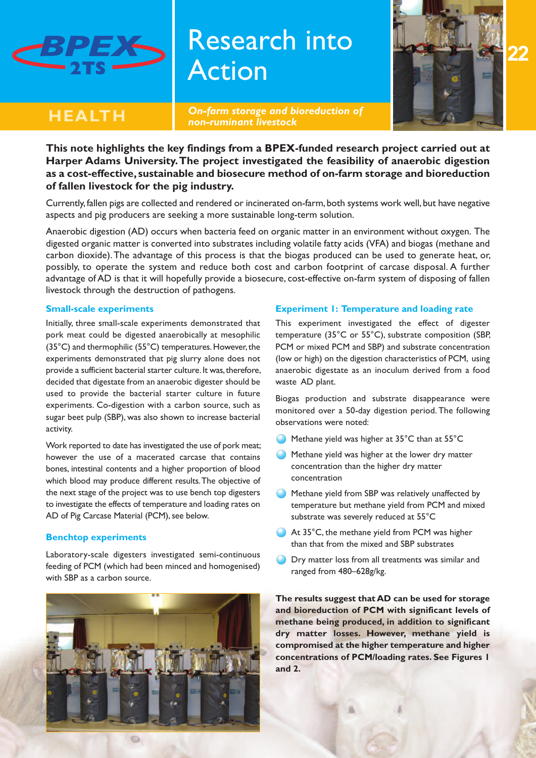

# Research into Action



*On-farm storage and bioreduction of non-ruminant livestock*



**This note highlights the key findings from a BPEX-funded research project carried out at Harper Adams University.The project investigated the feasibility of anaerobic digestion as a cost-effective, sustainable and biosecure method of on-farm storage and bioreduction of fallen livestock for the pig industry.**

Currently, fallen pigs are collected and rendered or incinerated on-farm, both systems work well, but have negative aspects and pig producers are seeking a more sustainable long-term solution.

Anaerobic digestion (AD) occurs when bacteria feed on organic matter in an environment without oxygen. The digested organic matter is converted into substrates including volatile fatty acids (VFA) and biogas (methane and carbon dioxide).The advantage of this process is that the biogas produced can be used to generate heat, or, possibly, to operate the system and reduce both cost and carbon footprint of carcase disposal. A further advantage of AD is that it will hopefully provide a biosecure, cost-effective on-farm system of disposing of fallen livestock through the destruction of pathogens.

#### **Small-scale experiments**

Initially, three small-scale experiments demonstrated that pork meat could be digested anaerobically at mesophilic (35°C) and thermophilic (55°C) temperatures.However,the experiments demonstrated that pig slurry alone does not provide a sufficient bacterial starter culture. It was, therefore, decided that digestate from an anaerobic digester should be used to provide the bacterial starter culture in future experiments. Co-digestion with a carbon source, such as sugar beet pulp (SBP), was also shown to increase bacterial activity.

Work reported to date has investigated the use of pork meat; however the use of a macerated carcase that contains bones, intestinal contents and a higher proportion of blood which blood may produce different results.The objective of the next stage of the project was to use bench top digesters to investigate the effects of temperature and loading rates on AD of Pig Carcase Material (PCM), see below.

## **Benchtop experiments**

Laboratory-scale digesters investigated semi-continuous feeding of PCM (which had been minced and homogenised) with SBP as a carbon source.



**CD** 

## **Experiment 1: Temperature and loading rate**

This experiment investigated the effect of digester temperature (35°C or 55°C), substrate composition (SBP, PCM or mixed PCM and SBP) and substrate concentration (low or high) on the digestion characteristics of PCM, using anaerobic digestate as an inoculum derived from a food waste AD plant.

Biogas production and substrate disappearance were monitored over a 50-day digestion period. The following observations were noted:

- Methane yield was higher at 35°C than at 55°C
- Methane yield was higher at the lower dry matter concentration than the higher dry matter concentration
- Methane yield from SBP was relatively unaffected by temperature but methane yield from PCM and mixed substrate was severely reduced at 55°C
- At 35°C, the methane yield from PCM was higher than that from the mixed and SBP substrates
- **O** Dry matter loss from all treatments was similar and ranged from 480–628g/kg.

**The results suggest that AD can be used for storage and bioreduction of PCM with significant levels of methane being produced, in addition to significant dry matter losses. However, methane yield is compromised at the higher temperature and higher concentrations of PCM/loading rates. See Figures 1 and 2.**